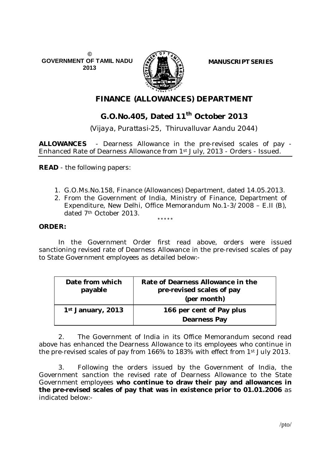**© GOVERNMENT OF TAMIL NADU 2013**



**MANUSCRIPT SERIES**

## **FINANCE (ALLOWANCES) DEPARTMENT**

# **G.O.No.405, Dated 11th October 2013**

 *(Vijaya, Purattasi-25, Thiruvalluvar Aandu 2044)*

**ALLOWANCES** - Dearness Allowance in the pre-revised scales of pay - Enhanced Rate of Dearness Allowance from 1st July, 2013 - Orders - Issued.

**READ** - the following papers:

- 1. G.O.Ms.No.158, Finance (Allowances) Department, dated 14.05.2013.
- 2. From the Government of India, Ministry of Finance, Department of Expenditure, New Delhi, Office Memorandum No.1-3/2008 – E.II (B), dated 7th October 2013.

### **ORDER:**

In the Government Order first read above, orders were issued sanctioning revised rate of Dearness Allowance in the pre-revised scales of pay to State Government employees as detailed below:-

\*\*\*\*\*

| Date from which<br>payable | Rate of Dearness Allowance in the<br>pre-revised scales of pay<br>(per month) |
|----------------------------|-------------------------------------------------------------------------------|
| 1st January, 2013          | 166 per cent of Pay plus<br>Dearness Pay                                      |

2. The Government of India in its Office Memorandum second read above has enhanced the Dearness Allowance to its employees who continue in the pre-revised scales of pay from 166% to 183% with effect from 1st July 2013.

3. Following the orders issued by the Government of India, the Government sanction the revised rate of Dearness Allowance to the State Government employees **who continue to draw their pay and allowances in the pre-revised scales of pay that was in existence prior to 01.01.2006** as indicated below:-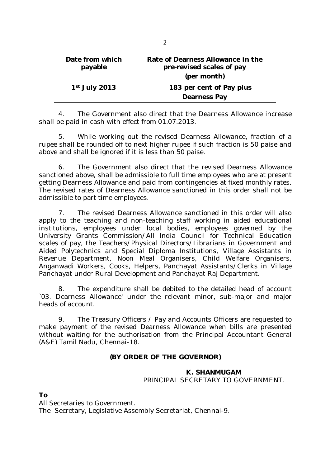| Date from which<br>payable | Rate of Dearness Allowance in the<br>pre-revised scales of pay<br>(per month) |
|----------------------------|-------------------------------------------------------------------------------|
| $1st$ July 2013            | 183 per cent of Pay plus<br><b>Dearness Pay</b>                               |

4. The Government also direct that the Dearness Allowance increase shall be paid in cash with effect from 01.07.2013.

5. While working out the revised Dearness Allowance, fraction of a rupee shall be rounded off to next higher rupee if such fraction is 50 paise and above and shall be ignored if it is less than 50 paise.

6. The Government also direct that the revised Dearness Allowance sanctioned above, shall be admissible to full time employees who are at present getting Dearness Allowance and paid from contingencies at fixed monthly rates. The revised rates of Dearness Allowance sanctioned in this order shall not be admissible to part time employees.

7. The revised Dearness Allowance sanctioned in this order will also apply to the teaching and non-teaching staff working in aided educational institutions, employees under local bodies, employees governed by the University Grants Commission/All India Council for Technical Education scales of pay, the Teachers/Physical Directors/Librarians in Government and Aided Polytechnics and Special Diploma Institutions, Village Assistants in Revenue Department, Noon Meal Organisers, Child Welfare Organisers, Anganwadi Workers, Cooks, Helpers, Panchayat Assistants/Clerks in Village Panchayat under Rural Development and Panchayat Raj Department.

8. The expenditure shall be debited to the detailed head of account `03. Dearness Allowance' under the relevant minor, sub-major and major heads of account.

9. The Treasury Officers / Pay and Accounts Officers are requested to make payment of the revised Dearness Allowance when bills are presented without waiting for the authorisation from the Principal Accountant General (A&E) Tamil Nadu, Chennai-18.

## **(BY ORDER OF THE GOVERNOR)**

## **K. SHANMUGAM** PRINCIPAL SECRETARY TO GOVERNMENT.

**To**

All Secretaries to Government. The Secretary, Legislative Assembly Secretariat, Chennai-9.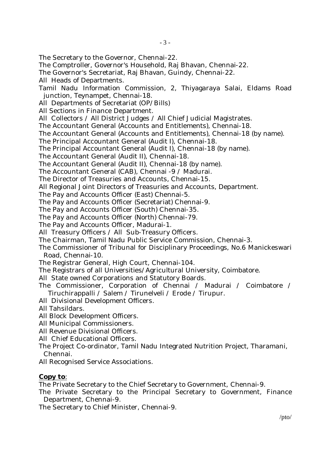The Secretary to the Governor, Chennai-22.

The Comptroller, Governor's Household, Raj Bhavan, Chennai-22.

The Governor's Secretariat, Raj Bhavan, Guindy, Chennai-22.

All Heads of Departments.

Tamil Nadu Information Commission, 2, Thiyagaraya Salai, Eldams Road junction, Teynampet, Chennai-18.

All Departments of Secretariat (OP/Bills)

All Sections in Finance Department.

All Collectors / All District Judges / All Chief Judicial Magistrates.

The Accountant General (Accounts and Entitlements), Chennai-18.

The Accountant General (Accounts and Entitlements), Chennai-18 (by name).

The Principal Accountant General (Audit I), Chennai-18.

The Principal Accountant General (Audit I), Chennai-18 (by name).

The Accountant General (Audit II), Chennai-18.

The Accountant General (Audit II), Chennai-18 (by name).

The Accountant General (CAB), Chennai -9 / Madurai.

The Director of Treasuries and Accounts, Chennai-15.

All Regional Joint Directors of Treasuries and Accounts, Department.

The Pay and Accounts Officer (East) Chennai-5.

The Pay and Accounts Officer (Secretariat) Chennai-9.

The Pay and Accounts Officer (South) Chennai-35.

The Pay and Accounts Officer (North) Chennai-79.

The Pay and Accounts Officer, Madurai-1.

All Treasury Officers / All Sub-Treasury Officers.

The Chairman, Tamil Nadu Public Service Commission, Chennai-3.

The Commissioner of Tribunal for Disciplinary Proceedings, No.6 Manickeswari Road, Chennai-10.

The Registrar General, High Court, Chennai-104.

The Registrars of all Universities/Agricultural University, Coimbatore.

- All State owned Corporations and Statutory Boards.
- The Commissioner, Corporation of Chennai / Madurai / Coimbatore / Tiruchirappalli / Salem / Tirunelveli / Erode / Tirupur.
- All Divisional Development Officers.
- All Tahsildars.

All Block Development Officers.

All Municipal Commissioners.

All Revenue Divisional Officers.

All Chief Educational Officers.

The Project Co-ordinator, Tamil Nadu Integrated Nutrition Project, Tharamani, Chennai.

All Recognised Service Associations.

## **Copy to**:

The Private Secretary to the Chief Secretary to Government, Chennai-9.

The Private Secretary to the Principal Secretary to Government, Finance Department, Chennai-9.

The Secretary to Chief Minister, Chennai-9.